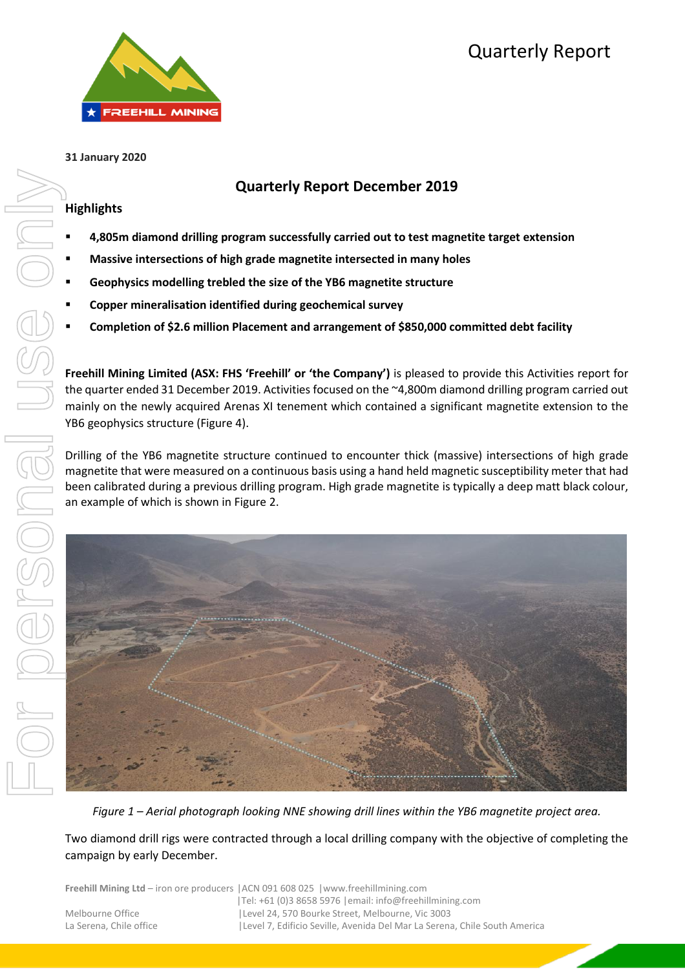# Quarterly Report



#### **31 January 2020**

## **Quarterly Report December 2019**

## **Highlights**

- **4,805m diamond drilling program successfully carried out to test magnetite target extension**
- **Massive intersections of high grade magnetite intersected in many holes**
- **Geophysics modelling trebled the size of the YB6 magnetite structure**
- **Copper mineralisation identified during geochemical survey**
- **Completion of \$2.6 million Placement and arrangement of \$850,000 committed debt facility**

**Freehill Mining Limited (ASX: FHS 'Freehill' or 'the Company')** is pleased to provide this Activities report for the quarter ended 31 December 2019. Activities focused on the ~4,800m diamond drilling program carried out mainly on the newly acquired Arenas XI tenement which contained a significant magnetite extension to the YB6 geophysics structure (Figure 4).

Drilling of the YB6 magnetite structure continued to encounter thick (massive) intersections of high grade magnetite that were measured on a continuous basis using a hand held magnetic susceptibility meter that had been calibrated during a previous drilling program. High grade magnetite is typically a deep matt black colour, an example of which is shown in Figure 2.



*Figure 1 – Aerial photograph looking NNE showing drill lines within the YB6 magnetite project area.*

Two diamond drill rigs were contracted through a local drilling company with the objective of completing the campaign by early December.

|                         | <b>Freehill Mining Ltd</b> – iron ore producers   ACN 091 608 025   www.freehillmining.com |
|-------------------------|--------------------------------------------------------------------------------------------|
|                         | $ Te : +61$ (0)3 8658 5976   email: info@freehillmining.com                                |
| Melbourne Office        | Level 24, 570 Bourke Street, Melbourne, Vic 3003                                           |
| La Serena. Chile office | Level 7, Edificio Seville, Avenida Del Mar La Serena, Chile South America                  |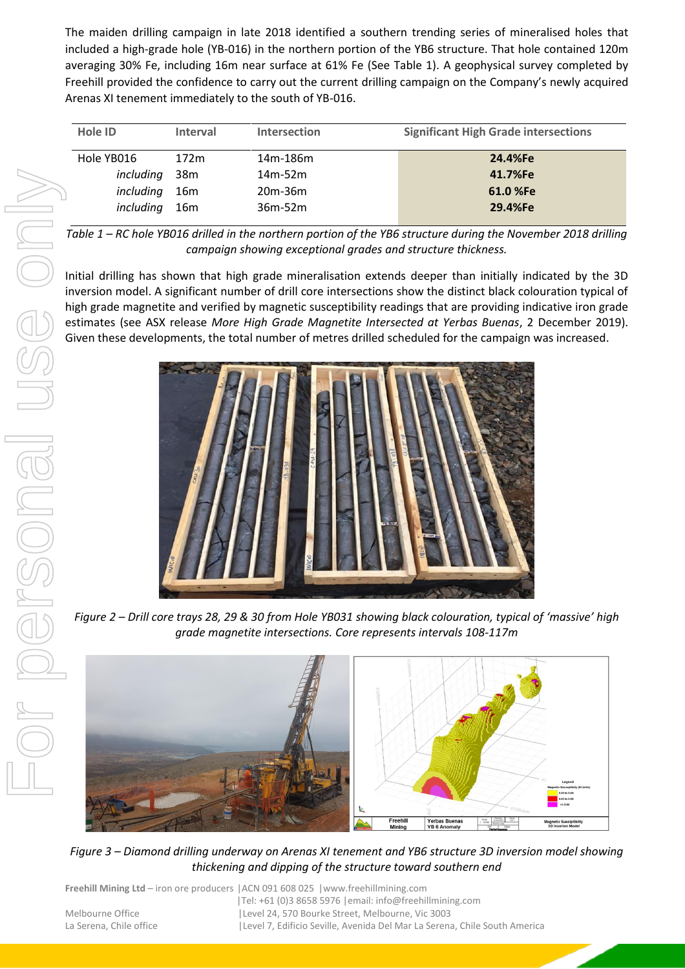The maiden drilling campaign in late 2018 identified a southern trending series of mineralised holes that included a high-grade hole (YB-016) in the northern portion of the YB6 structure. That hole contained 120m averaging 30% Fe, including 16m near surface at 61% Fe (See Table 1). A geophysical survey completed by Freehill provided the confidence to carry out the current drilling campaign on the Company's newly acquired Arenas XI tenement immediately to the south of YB-016.

| Hole ID    | <b>Interval</b> | <b>Intersection</b> | <b>Significant High Grade intersections</b> |
|------------|-----------------|---------------------|---------------------------------------------|
| Hole YB016 | 172m            | 14m-186m            | 24.4%Fe                                     |
| including  | 38 <sub>m</sub> | $14m-52m$           | 41.7%Fe                                     |
| including  | 16 <sub>m</sub> | $20m-36m$           | 61.0 %Fe                                    |
| including  | 16m             | $36m-52m$           | 29.4%Fe                                     |
|            |                 |                     |                                             |

*Table 1 – RC hole YB016 drilled in the northern portion of the YB6 structure during the November 2018 drilling campaign showing exceptional grades and structure thickness.*

Initial drilling has shown that high grade mineralisation extends deeper than initially indicated by the 3D inversion model. A significant number of drill core intersections show the distinct black colouration typical of high grade magnetite and verified by magnetic susceptibility readings that are providing indicative iron grade estimates (see ASX release *More High Grade Magnetite Intersected at Yerbas Buenas*, 2 December 2019). Given these developments, the total number of metres drilled scheduled for the campaign was increased.



*Figure 2 – Drill core trays 28, 29 & 30 from Hole YB031 showing black colouration, typical of 'massive' high grade magnetite intersections. Core represents intervals 108-117m* 



*Figure 3 – Diamond drilling underway on Arenas XI tenement and YB6 structure 3D inversion model showing thickening and dipping of the structure toward southern end*

**Freehill Mining Ltd** – iron ore producers |ACN 091 608 025 |www.freehillmining.com |Tel: +61 (0)3 8658 5976 |email: info@freehillmining.com Melbourne Office |Level 24, 570 Bourke Street, Melbourne, Vic 3003 La Serena, Chile office | Level 7, Edificio Seville, Avenida Del Mar La Serena, Chile South America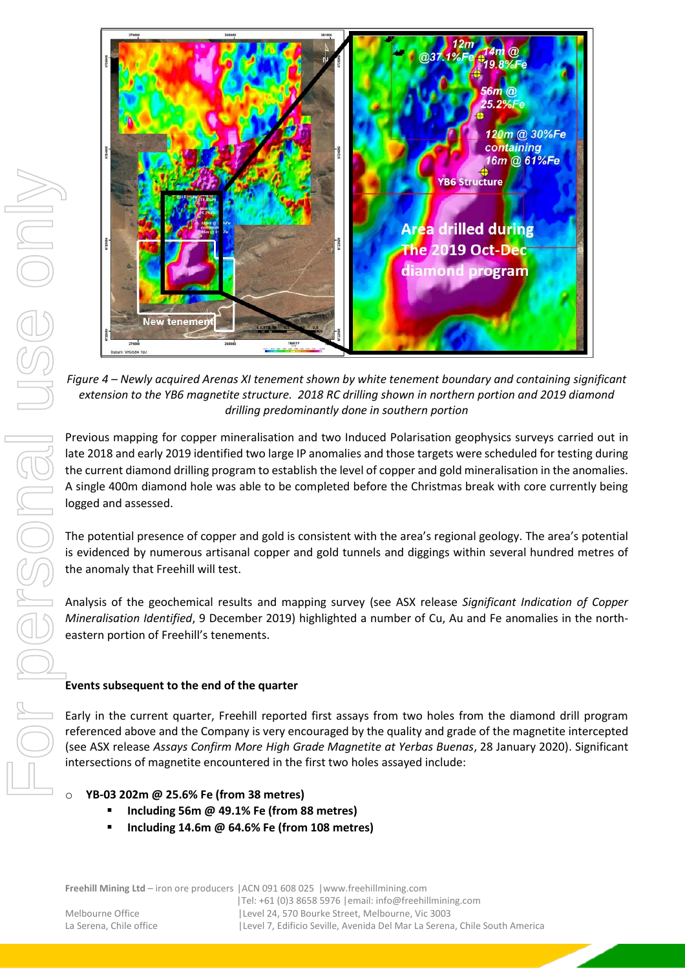

*Figure 4 – Newly acquired Arenas XI tenement shown by white tenement boundary and containing significant extension to the YB6 magnetite structure. 2018 RC drilling shown in northern portion and 2019 diamond drilling predominantly done in southern portion*

Previous mapping for copper mineralisation and two Induced Polarisation geophysics surveys carried out in late 2018 and early 2019 identified two large IP anomalies and those targets were scheduled for testing during the current diamond drilling program to establish the level of copper and gold mineralisation in the anomalies. A single 400m diamond hole was able to be completed before the Christmas break with core currently being logged and assessed.

The potential presence of copper and gold is consistent with the area's regional geology. The area's potential is evidenced by numerous artisanal copper and gold tunnels and diggings within several hundred metres of the anomaly that Freehill will test.

Analysis of the geochemical results and mapping survey (see ASX release *Significant Indication of Copper Mineralisation Identified*, 9 December 2019) highlighted a number of Cu, Au and Fe anomalies in the northeastern portion of Freehill's tenements.

## **Events subsequent to the end of the quarter**

Early in the current quarter, Freehill reported first assays from two holes from the diamond drill program referenced above and the Company is very encouraged by the quality and grade of the magnetite intercepted (see ASX release *Assays Confirm More High Grade Magnetite at Yerbas Buenas*, 28 January 2020). Significant intersections of magnetite encountered in the first two holes assayed include:

## o **YB-03 202m @ 25.6% Fe (from 38 metres)**

- **Including 56m @ 49.1% Fe (from 88 metres)**
- **Including 14.6m @ 64.6% Fe (from 108 metres)**

**Freehill Mining Ltd** – iron ore producers |ACN 091 608 025 |www.freehillmining.com

|Tel: +61 (0)3 8658 5976 |email: info@freehillmining.com Melbourne Office |Level 24, 570 Bourke Street, Melbourne, Vic 3003 La Serena, Chile office | Level 7, Edificio Seville, Avenida Del Mar La Serena, Chile South America